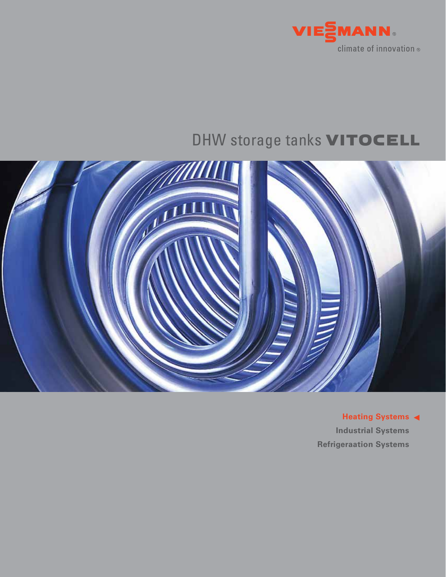

# DHW storage tanks **VITOCELL**



**Heating Systems Industrial Systems Refrigeraation Systems**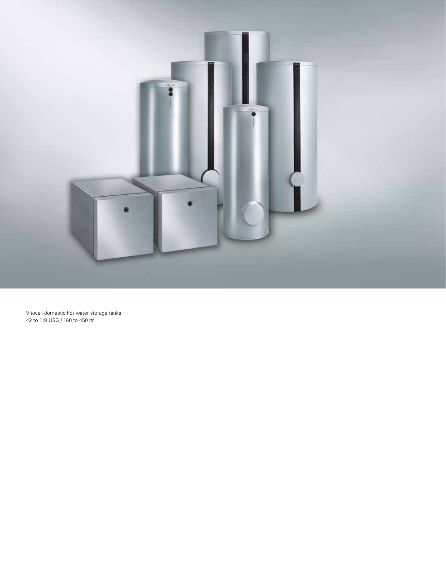

Vitocell domestic hot water storage tanks 42 to 119 USG / 160 to 450 ltr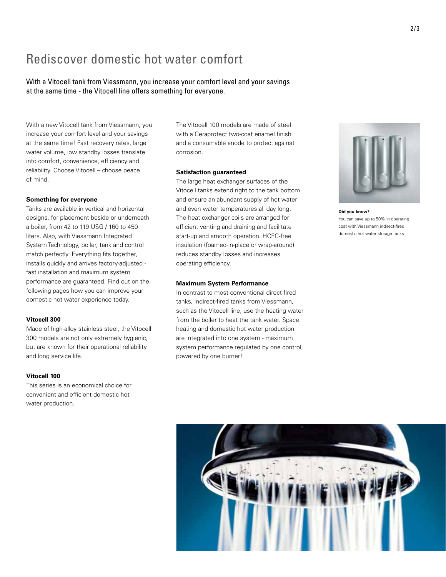## Rediscover domestic hot water comfort

With a Vitocell tank from Viessmann, you increase your comfort level and your savings at the same time - the Vitocell line offers something for everyone.

With a new Vitocell tank from Viessmann, you increase your comfort level and your savings at the same time! Fast recovery rates, large water volume, low standby losses translate into comfort, convenience, efficiency and reliability. Choose Vitocell – choose peace of mind.

#### **Something for everyone**

Tanks are available in vertical and horizontal designs, for placement beside or underneath a boiler, from 42 to 119 USG / 160 to 450 liters. Also, with Viessmann Integrated System Technology, boiler, tank and control match perfectly. Everything fits together, installs quickly and arrives factory-adjusted fast installation and maximum system performance are guaranteed. Find out on the following pages how you can improve your domestic hot water experience today.

#### **Vitocell 300**

Made of high-alloy stainless steel, the Vitocell 300 models are not only extremely hygienic, but are known for their operational reliability and long service life.

#### **Vitocell 100**

This series is an economical choice for convenient and efficient domestic hot water production.

The Vitocell 100 models are made of steel with a Ceraprotect two-coat enamel finish and a consumable anode to protect against corrosion.

#### **Satisfaction guaranteed**

The large heat exchanger surfaces of the Vitocell tanks extend right to the tank bottom and ensure an abundant supply of hot water and even water temperatures all day long. The heat exchanger coils are arranged for efficient venting and draining and facilitate start-up and smooth operation. HCFC-free insulation (foamed-in-place or wrap-around) reduces standby losses and increases operating efficiency.

#### **Maximum System Performance**

In contrast to most conventional direct-fired tanks, indirect-fired tanks from Viessmann, such as the Vitocell line, use the heating water from the boiler to heat the tank water. Space heating and domestic hot water production are integrated into one system - maximum system performance regulated by one control, powered by one burner!



**Did you know?** You can save up to 50% in operating cost with Viessmann indirect-fired domestic hot water storage tanks.

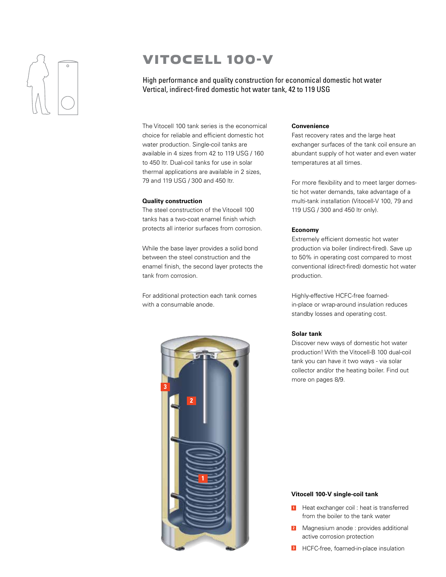

## VITOCELL 100-V

High performance and quality construction for economical domestic hot water Vertical, indirect-fired domestic hot water tank, 42 to 119 USG

The Vitocell 100 tank series is the economical choice for reliable and efficient domestic hot water production. Single-coil tanks are available in 4 sizes from 42 to 119 USG / 160 to 450 ltr. Dual-coil tanks for use in solar thermal applications are available in 2 sizes, 79 and 119 USG / 300 and 450 ltr.

#### **Quality construction**

The steel construction of the Vitocell 100 tanks has a two-coat enamel finish which protects all interior surfaces from corrosion.

While the base layer provides a solid bond between the steel construction and the enamel finish, the second layer protects the tank from corrosion.

For additional protection each tank comes with a consumable anode.



#### **Convenience**

Fast recovery rates and the large heat exchanger surfaces of the tank coil ensure an abundant supply of hot water and even water temperatures at all times.

For more flexibility and to meet larger domestic hot water demands, take advantage of a multi-tank installation (Vitocell-V 100, 79 and 119 USG / 300 and 450 ltr only).

#### **Economy**

Extremely efficient domestic hot water production via boiler (indirect-fired). Save up to 50% in operating cost compared to most conventional (direct-fired) domestic hot water production.

Highly-effective HCFC-free foamedin-place or wrap-around insulation reduces standby losses and operating cost.

#### **Solar tank**

Discover new ways of domestic hot water production! With the Vitocell-B 100 dual-coil tank you can have it two ways - via solar collector and/or the heating boiler. Find out more on pages 8/9.

#### **Vitocell 100-V single-coil tank**

- **1** Heat exchanger coil : heat is transferred from the boiler to the tank water
- **2** Magnesium anode : provides additional active corrosion protection
- **3** HCFC-free, foamed-in-place insulation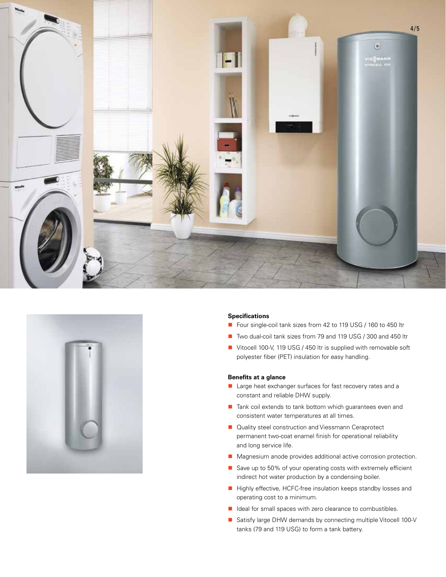



#### **Specifications**

- Four single-coil tank sizes from 42 to 119 USG / 160 to 450 ltr
- Two dual-coil tank sizes from 79 and 119 USG / 300 and 450 ltr
- Vitocell 100-V, 119 USG / 450 ltr is supplied with removable soft polyester fiber (PET) insulation for easy handling.

#### **Benefits at a glance**

- **Large heat exchanger surfaces for fast recovery rates and a** constant and reliable DHW supply.
- Tank coil extends to tank bottom which guarantees even and consistent water temperatures at all times.
- Quality steel construction and Viessmann Ceraprotect permanent two-coat enamel finish for operational reliability and long service life.
- **Magnesium anode provides additional active corrosion protection.**
- Save up to 50% of your operating costs with extremely efficient indirect hot water production by a condensing boiler.
- Highly effective, HCFC-free insulation keeps standby losses and operating cost to a minimum.
- I Ideal for small spaces with zero clearance to combustibles.
- Satisfy large DHW demands by connecting multiple Vitocell 100-V tanks (79 and 119 USG) to form a tank battery.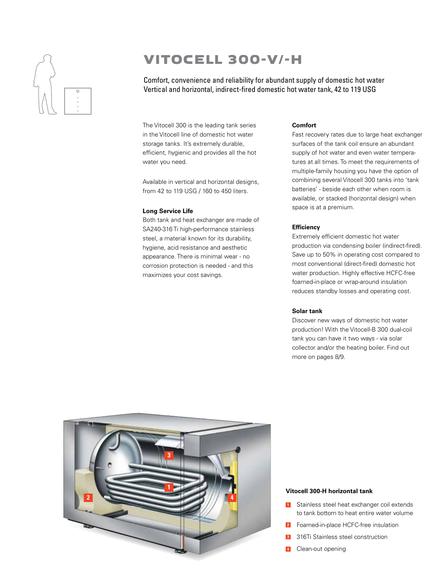

## VITOCELL 300-V/-H

Comfort, convenience and reliability for abundant supply of domestic hot water Vertical and horizontal, indirect-fired domestic hot water tank, 42 to 119 USG

The Vitocell 300 is the leading tank series in the Vitocell line of domestic hot water storage tanks. It's extremely durable, efficient, hygienic and provides all the hot water you need.

Available in vertical and horizontal designs, from 42 to 119 USG / 160 to 450 liters.

#### **Long Service Life**

Both tank and heat exchanger are made of SA240-316 Ti high-performance stainless steel, a material known for its durability, hygiene, acid resistance and aesthetic appearance. There is minimal wear - no corrosion protection is needed - and this maximizes your cost savings.

#### **Comfort**

Fast recovery rates due to large heat exchanger surfaces of the tank coil ensure an abundant supply of hot water and even water temperatures at all times. To meet the requirements of multiple-family housing you have the option of combining several Vitocell 300 tanks into 'tank batteries' - beside each other when room is available, or stacked (horizontal design) when space is at a premium.

#### **Efficiency**

Extremely efficient domestic hot water production via condensing boiler (indirect-fired). Save up to 50% in operating cost compared to most conventional (direct-fired) domestic hot water production. Highly effective HCFC-free foamed-in-place or wrap-around insulation reduces standby losses and operating cost.

#### **Solar tank**

Discover new ways of domestic hot water production! With the Vitocell-B 300 dual-coil tank you can have it two ways - via solar collector and/or the heating boiler. Find out more on pages 8/9.



#### **Vitocell 300-H horizontal tank**

- **1** Stainless steel heat exchanger coil extends to tank bottom to heat entire water volume
- **2** Foamed-in-place HCFC-free insulation
- **3** 316Ti Stainless steel construction
- Clean-out opening **4**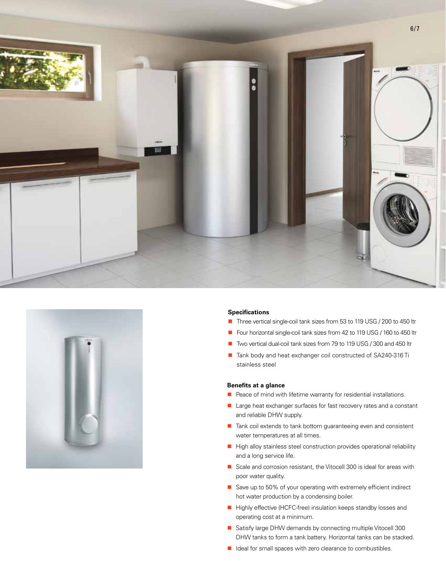



#### **Specifications**

- Three vertical single-coil tank sizes from 53 to 119 USG / 200 to 450 ltr
- Four horizontal single-coil tank sizes from 42 to 119 USG / 160 to 450 ltr
- Two vertical dual-coil tank sizes from 79 to 119 USG / 300 and 450 ltr
- Tank body and heat exchanger coil constructed of SA240-316 Ti stainless steel

#### **Benefits at a glance**

- $\blacksquare$  Peace of mind with lifetime warranty for residential installations.
- **E** Large heat exchanger surfaces for fast recovery rates and a constant and reliable DHW supply.
- Tank coil extends to tank bottom guaranteeing even and consistent water temperatures at all times.
- $\blacksquare$  High alloy stainless steel construction provides operational reliability and a long service life.
- Scale and corrosion resistant, the Vitocell 300 is ideal for areas with poor water quality.
- Save up to 50% of your operating with extremely efficient indirect hot water production by a condensing boiler.
- Highly effective (HCFC-free) insulation keeps standby losses and operating cost at a minimum.
- Satisfy large DHW demands by connecting multiple Vitocell 300 DHW tanks to form a tank battery. Horizontal tanks can be stacked.
- I Ideal for small spaces with zero clearance to combustibles.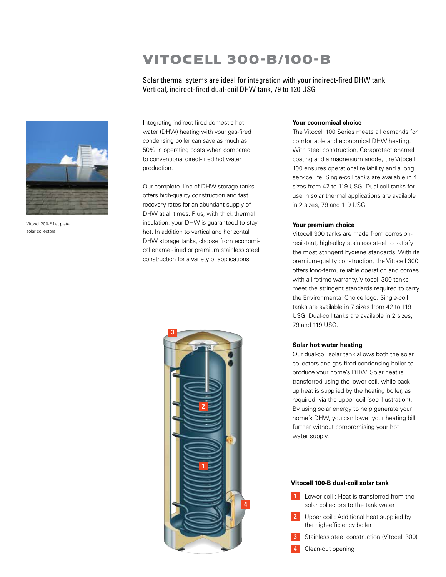## VITOCELL 300-B/100-B

Solar thermal sytems are ideal for integration with your indirect-fired DHW tank Vertical, indirect-fired dual-coil DHW tank, 79 to 120 USG



Vitosol 200-F flat plate solar collectors

Integrating indirect-fired domestic hot water (DHW) heating with your gas-fired condensing boiler can save as much as 50% in operating costs when compared to conventional direct-fired hot water production.

Our complete line of DHW storage tanks offers high-quality construction and fast recovery rates for an abundant supply of DHW at all times. Plus, with thick thermal insulation, your DHW is guaranteed to stay hot. In addition to vertical and horizontal DHW storage tanks, choose from economical enamel-lined or premium stainless steel construction for a variety of applications.

# **2 1 3 4**

#### **Your economical choice**

The Vitocell 100 Series meets all demands for comfortable and economical DHW heating. With steel construction, Ceraprotect enamel coating and a magnesium anode, the Vitocell 100 ensures operational reliability and a long service life. Single-coil tanks are available in 4 sizes from 42 to 119 USG. Dual-coil tanks for use in solar thermal applications are available in 2 sizes, 79 and 119 USG.

#### **Your premium choice**

Vitocell 300 tanks are made from corrosionresistant, high-alloy stainless steel to satisfy the most stringent hygiene standards. With its premium-quality construction, the Vitocell 300 offers long-term, reliable operation and comes with a lifetime warranty. Vitocell 300 tanks meet the stringent standards required to carry the Environmental Choice logo. Single-coil tanks are available in 7 sizes from 42 to 119 USG. Dual-coil tanks are available in 2 sizes, 79 and 119 USG.

#### **Solar hot water heating**

Our dual-coil solar tank allows both the solar collectors and gas-fired condensing boiler to produce your home's DHW. Solar heat is transferred using the lower coil, while backup heat is supplied by the heating boiler, as required, via the upper coil (see illustration). By using solar energy to help generate your home's DHW, you can lower your heating bill further without compromising your hot water supply.

#### **Vitocell 100-B dual-coil solar tank**

- **1** Lower coil : Heat is transferred from the solar collectors to the tank water
- **2** Upper coil : Additional heat supplied by the high-efficiency boiler
- **3** Stainless steel construction (Vitocell 300)
- **4** Clean-out opening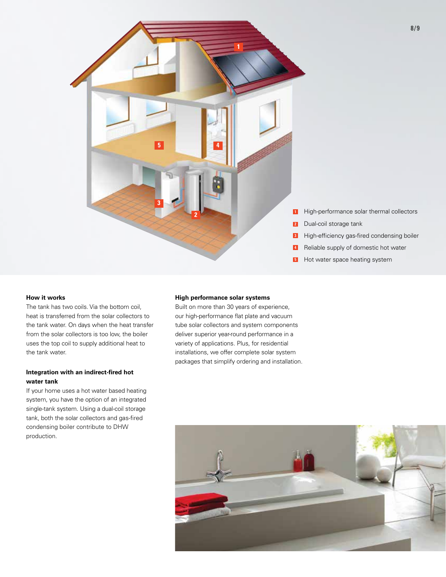

#### **How it works**

The tank has two coils. Via the bottom coil, heat is transferred from the solar collectors to the tank water. On days when the heat transfer from the solar collectors is too low, the boiler uses the top coil to supply additional heat to the tank water.

#### **Integration with an indirect-fired hot water tank**

If your home uses a hot water based heating system, you have the option of an integrated single-tank system. Using a dual-coil storage tank, both the solar collectors and gas-fired condensing boiler contribute to DHW production.

#### **High performance solar systems**

Built on more than 30 years of experience, our high-performance flat plate and vacuum tube solar collectors and system components deliver superior year-round performance in a variety of applications. Plus, for residential installations, we offer complete solar system packages that simplify ordering and installation.

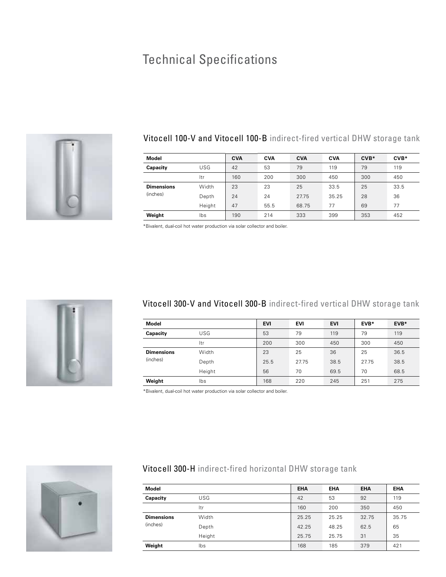# Technical Specifications



## Vitocell 100-V and Vitocell 100-B indirect-fired vertical DHW storage tank

| <b>Model</b>                  |        | <b>CVA</b> | <b>CVA</b> | <b>CVA</b> | <b>CVA</b> | $CVB*$ | CVB* |
|-------------------------------|--------|------------|------------|------------|------------|--------|------|
| Capacity                      | USG    | 42         | 53         | 79         | 119        | 79     | 119  |
|                               | ltr    | 160        | 200        | 300        | 450        | 300    | 450  |
| <b>Dimensions</b><br>(inches) | Width  | 23         | 23         | 25         | 33.5       | 25     | 33.5 |
|                               | Depth  | 24         | 24         | 27.75      | 35.25      | 28     | 36   |
|                               | Height | 47         | 55.5       | 68.75      | 77         | 69     | 77   |
| Weight                        | lbs    | 190        | 214        | 333        | 399        | 353    | 452  |

\*Bivalent, dual-coil hot water production via solar collector and boiler.



### Vitocell 300-V and Vitocell 300-B indirect-fired vertical DHW storage tank

| <b>Model</b>                  |            | <b>EVI</b> | <b>EVI</b> | <b>EVI</b> | EVB*  | EVB* |
|-------------------------------|------------|------------|------------|------------|-------|------|
| Capacity                      | <b>USG</b> | 53         | 79         | 119        | 79    | 119  |
|                               | ltr        | 200        | 300        | 450        | 300   | 450  |
| <b>Dimensions</b><br>(inches) | Width      | 23         | 25         | 36         | 25    | 36.5 |
|                               | Depth      | 25.5       | 27.75      | 38.5       | 27.75 | 38.5 |
|                               | Height     | 56         | 70         | 69.5       | 70    | 68.5 |
| Weight                        | lbs        | 168        | 220        | 245        | 251   | 275  |

\*Bivalent, dual-coil hot water production via solar collector and boiler.



## Vitocell 300-H indirect-fired horizontal DHW storage tank

| <b>Model</b>                  |        | <b>EHA</b> | <b>EHA</b> | <b>EHA</b> | <b>EHA</b> |
|-------------------------------|--------|------------|------------|------------|------------|
| Capacity                      | USG    | 42         | 53         | 92         | 119        |
|                               | ltr    | 160        | 200        | 350        | 450        |
| <b>Dimensions</b><br>(inches) | Width  | 25.25      | 25.25      | 32.75      | 35.75      |
|                               | Depth  | 42.25      | 48.25      | 62.5       | 65         |
|                               | Height | 25.75      | 25.75      | 31         | 35         |
| Weight                        | lbs    | 168        | 185        | 379        | 421        |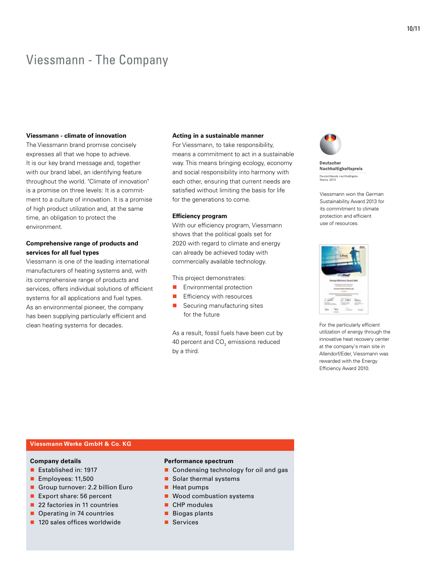## Viessmann - The Company

#### **Viessmann - climate of innovation**

The Viessmann brand promise concisely expresses all that we hope to achieve. It is our key brand message and, together with our brand label, an identifying feature throughout the world. "Climate of innovation" is a promise on three levels: It is a commitment to a culture of innovation. It is a promise of high product utilization and, at the same time, an obligation to protect the environment.

#### **Comprehensive range of products and services for all fuel types**

Viessmann is one of the leading international manufacturers of heating systems and, with its comprehensive range of products and services, offers individual solutions of efficient systems for all applications and fuel types. As an environmental pioneer, the company has been supplying particularly efficient and clean heating systems for decades.

#### **Acting in a sustainable manner**

For Viessmann, to take responsibility, means a commitment to act in a sustainable way. This means bringing ecology, economy and social responsibility into harmony with each other, ensuring that current needs are satisfied without limiting the basis for life for the generations to come.

#### **Efficiency program**

With our efficiency program, Viessmann shows that the political goals set for 2020 with regard to climate and energy can already be achieved today with commercially available technology.

This project demonstrates:

- **E** Environmental protection
- Efficiency with resources
- Securing manufacturing sites for the future

As a result, fossil fuels have been cut by 40 percent and CO $_{\textrm{\tiny{2}}}$  emissions reduced by a third.



**Deutscher** Nachhaltigkeitspreis Deutschlands nachhaltigste<br>Marke 2013

Viessmann won the German Sustainability Award 2013 for its commitment to climate protection and efficient use of resources.



For the particularly efficient utilization of energy through the innovative heat recovery center at the company's main site in Allendorf/Eder, Viessmann was rewarded with the Energy Efficiency Award 2010.

#### **Viessmann Werke GmbH & Co. KG**

#### **Company details**

- Established in: 1917
- Employees: 11,500
- Group turnover: 2.2 billion Euro
- Export share: 56 percent
- 22 factories in 11 countries
- Operating in 74 countries
- 120 sales offices worldwide

#### **Performance spectrum**

- Condensing technology for oil and gas
- Solar thermal systems
- Heat pumps
- Wood combustion systems
- CHP modules
- **Biogas plants**
- Services